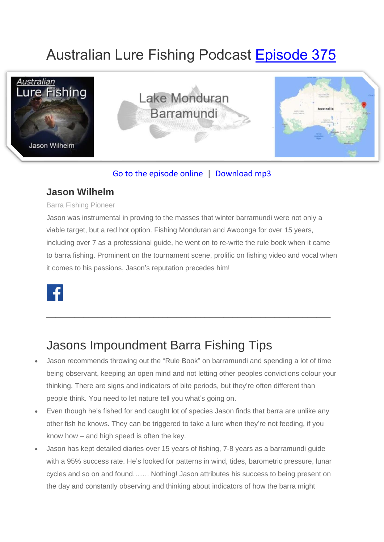# Australian Lure Fishing Podcast [Episode 375](https://doclures.com/monduran-barramundi-jason-wilhelm/)



### [Go to the episode online](https://doclures.com/monduran-barramundi-jason-wilhelm/) | [Download mp3](https://traffic.libsyn.com/secure/doclures/monduran-barramundi-jason-wilhelm.mp3)

### **Jason Wilhelm**

#### Barra Fishing Pioneer

Jason was instrumental in proving to the masses that winter barramundi were not only a viable target, but a red hot option. Fishing Monduran and Awoonga for over 15 years, including over 7 as a professional guide, he went on to re-write the rule book when it came to barra fishing. Prominent on the tournament scene, prolific on fishing video and vocal when it comes to his passions, Jason's reputation precedes him!



## Jasons Impoundment Barra Fishing Tips

• Jason recommends throwing out the "Rule Book" on barramundi and spending a lot of time being observant, keeping an open mind and not letting other peoples convictions colour your thinking. There are signs and indicators of bite periods, but they're often different than people think. You need to let nature tell you what's going on.

\_\_\_\_\_\_\_\_\_\_\_\_\_\_\_\_\_\_\_\_\_\_\_\_\_\_\_\_\_\_\_\_\_\_\_\_\_\_\_\_\_\_\_\_\_\_\_\_\_\_\_\_\_\_\_\_\_\_\_\_\_

- Even though he's fished for and caught lot of species Jason finds that barra are unlike any other fish he knows. They can be triggered to take a lure when they're not feeding, if you know how – and high speed is often the key.
- Jason has kept detailed diaries over 15 years of fishing, 7-8 years as a barramundi guide with a 95% success rate. He's looked for patterns in wind, tides, barometric pressure, lunar cycles and so on and found……. Nothing! Jason attributes his success to being present on the day and constantly observing and thinking about indicators of how the barra might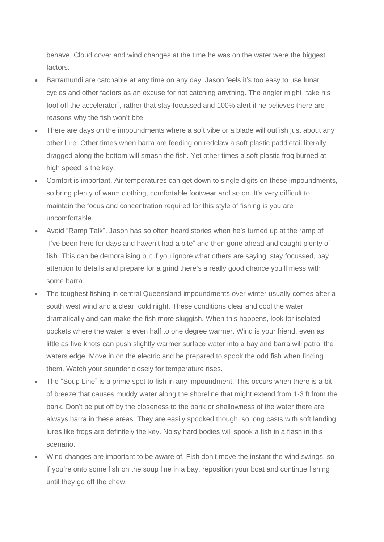behave. Cloud cover and wind changes at the time he was on the water were the biggest factors.

- Barramundi are catchable at any time on any day. Jason feels it's too easy to use lunar cycles and other factors as an excuse for not catching anything. The angler might "take his foot off the accelerator", rather that stay focussed and 100% alert if he believes there are reasons why the fish won't bite.
- There are days on the impoundments where a soft vibe or a blade will outfish just about any other lure. Other times when barra are feeding on redclaw a soft plastic paddletail literally dragged along the bottom will smash the fish. Yet other times a soft plastic frog burned at high speed is the key.
- Comfort is important. Air temperatures can get down to single digits on these impoundments, so bring plenty of warm clothing, comfortable footwear and so on. It's very difficult to maintain the focus and concentration required for this style of fishing is you are uncomfortable.
- Avoid "Ramp Talk". Jason has so often heard stories when he's turned up at the ramp of "I've been here for days and haven't had a bite" and then gone ahead and caught plenty of fish. This can be demoralising but if you ignore what others are saying, stay focussed, pay attention to details and prepare for a grind there's a really good chance you'll mess with some barra.
- The toughest fishing in central Queensland impoundments over winter usually comes after a south west wind and a clear, cold night. These conditions clear and cool the water dramatically and can make the fish more sluggish. When this happens, look for isolated pockets where the water is even half to one degree warmer. Wind is your friend, even as little as five knots can push slightly warmer surface water into a bay and barra will patrol the waters edge. Move in on the electric and be prepared to spook the odd fish when finding them. Watch your sounder closely for temperature rises.
- The "Soup Line" is a prime spot to fish in any impoundment. This occurs when there is a bit of breeze that causes muddy water along the shoreline that might extend from 1-3 ft from the bank. Don't be put off by the closeness to the bank or shallowness of the water there are always barra in these areas. They are easily spooked though, so long casts with soft landing lures like frogs are definitely the key. Noisy hard bodies will spook a fish in a flash in this scenario.
- Wind changes are important to be aware of. Fish don't move the instant the wind swings, so if you're onto some fish on the soup line in a bay, reposition your boat and continue fishing until they go off the chew.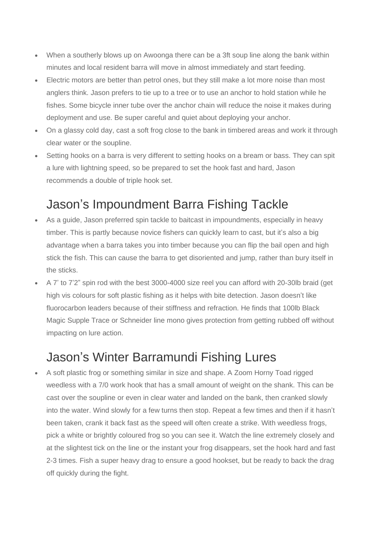- When a southerly blows up on Awoonga there can be a 3ft soup line along the bank within minutes and local resident barra will move in almost immediately and start feeding.
- Electric motors are better than petrol ones, but they still make a lot more noise than most anglers think. Jason prefers to tie up to a tree or to use an anchor to hold station while he fishes. Some bicycle inner tube over the anchor chain will reduce the noise it makes during deployment and use. Be super careful and quiet about deploying your anchor.
- On a glassy cold day, cast a soft frog close to the bank in timbered areas and work it through clear water or the soupline.
- Setting hooks on a barra is very different to setting hooks on a bream or bass. They can spit a lure with lightning speed, so be prepared to set the hook fast and hard, Jason recommends a double of triple hook set.

## Jason's Impoundment Barra Fishing Tackle

- As a guide, Jason preferred spin tackle to baitcast in impoundments, especially in heavy timber. This is partly because novice fishers can quickly learn to cast, but it's also a big advantage when a barra takes you into timber because you can flip the bail open and high stick the fish. This can cause the barra to get disoriented and jump, rather than bury itself in the sticks.
- A 7' to 7'2" spin rod with the best 3000-4000 size reel you can afford with 20-30lb braid (get high vis colours for soft plastic fishing as it helps with bite detection. Jason doesn't like fluorocarbon leaders because of their stiffness and refraction. He finds that 100lb Black Magic Supple Trace or Schneider line mono gives protection from getting rubbed off without impacting on lure action.

## Jason's Winter Barramundi Fishing Lures

• A soft plastic frog or something similar in size and shape. A Zoom Horny Toad rigged weedless with a 7/0 work hook that has a small amount of weight on the shank. This can be cast over the soupline or even in clear water and landed on the bank, then cranked slowly into the water. Wind slowly for a few turns then stop. Repeat a few times and then if it hasn't been taken, crank it back fast as the speed will often create a strike. With weedless frogs, pick a white or brightly coloured frog so you can see it. Watch the line extremely closely and at the slightest tick on the line or the instant your frog disappears, set the hook hard and fast 2-3 times. Fish a super heavy drag to ensure a good hookset, but be ready to back the drag off quickly during the fight.